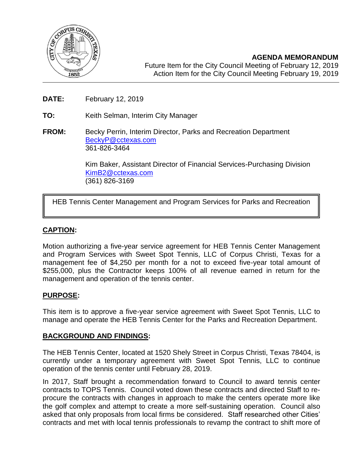

**AGENDA MEMORANDUM** Future Item for the City Council Meeting of February 12, 2019 Action Item for the City Council Meeting February 19, 2019

- **DATE:** February 12, 2019
- **TO:** Keith Selman, Interim City Manager
- **FROM:** Becky Perrin, Interim Director, Parks and Recreation Department [BeckyP@cctexas.com](mailto:BeckyP@cctexas.com) 361-826-3464

Kim Baker, Assistant Director of Financial Services-Purchasing Division [KimB2@cctexas.com](mailto:KimB2@cctexas.com) (361) 826-3169

HEB Tennis Center Management and Program Services for Parks and Recreation

# **CAPTION:**

Ī

Motion authorizing a five-year service agreement for HEB Tennis Center Management and Program Services with Sweet Spot Tennis, LLC of Corpus Christi, Texas for a management fee of \$4,250 per month for a not to exceed five-year total amount of \$255,000, plus the Contractor keeps 100% of all revenue earned in return for the management and operation of the tennis center.

#### **PURPOSE:**

This item is to approve a five-year service agreement with Sweet Spot Tennis, LLC to manage and operate the HEB Tennis Center for the Parks and Recreation Department.

#### **BACKGROUND AND FINDINGS:**

The HEB Tennis Center, located at 1520 Shely Street in Corpus Christi, Texas 78404, is currently under a temporary agreement with Sweet Spot Tennis, LLC to continue operation of the tennis center until February 28, 2019.

In 2017, Staff brought a recommendation forward to Council to award tennis center contracts to TOPS Tennis. Council voted down these contracts and directed Staff to reprocure the contracts with changes in approach to make the centers operate more like the golf complex and attempt to create a more self-sustaining operation. Council also asked that only proposals from local firms be considered. Staff researched other Cities' contracts and met with local tennis professionals to revamp the contract to shift more of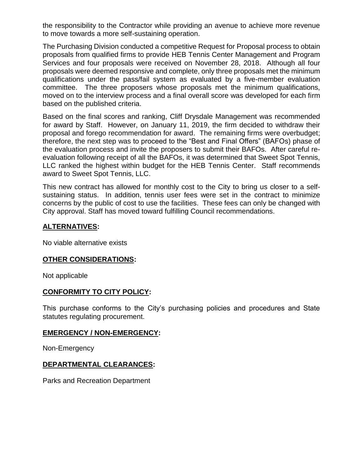the responsibility to the Contractor while providing an avenue to achieve more revenue to move towards a more self-sustaining operation.

The Purchasing Division conducted a competitive Request for Proposal process to obtain proposals from qualified firms to provide HEB Tennis Center Management and Program Services and four proposals were received on November 28, 2018. Although all four proposals were deemed responsive and complete, only three proposals met the minimum qualifications under the pass/fail system as evaluated by a five-member evaluation committee. The three proposers whose proposals met the minimum qualifications, moved on to the interview process and a final overall score was developed for each firm based on the published criteria.

Based on the final scores and ranking, Cliff Drysdale Management was recommended for award by Staff. However, on January 11, 2019, the firm decided to withdraw their proposal and forego recommendation for award. The remaining firms were overbudget; therefore, the next step was to proceed to the "Best and Final Offers" (BAFOs) phase of the evaluation process and invite the proposers to submit their BAFOs. After careful reevaluation following receipt of all the BAFOs, it was determined that Sweet Spot Tennis, LLC ranked the highest within budget for the HEB Tennis Center. Staff recommends award to Sweet Spot Tennis, LLC.

This new contract has allowed for monthly cost to the City to bring us closer to a selfsustaining status. In addition, tennis user fees were set in the contract to minimize concerns by the public of cost to use the facilities. These fees can only be changed with City approval. Staff has moved toward fulfilling Council recommendations.

# **ALTERNATIVES:**

No viable alternative exists

# **OTHER CONSIDERATIONS:**

Not applicable

# **CONFORMITY TO CITY POLICY:**

This purchase conforms to the City's purchasing policies and procedures and State statutes regulating procurement.

#### **EMERGENCY / NON-EMERGENCY:**

Non-Emergency

# **DEPARTMENTAL CLEARANCES:**

Parks and Recreation Department